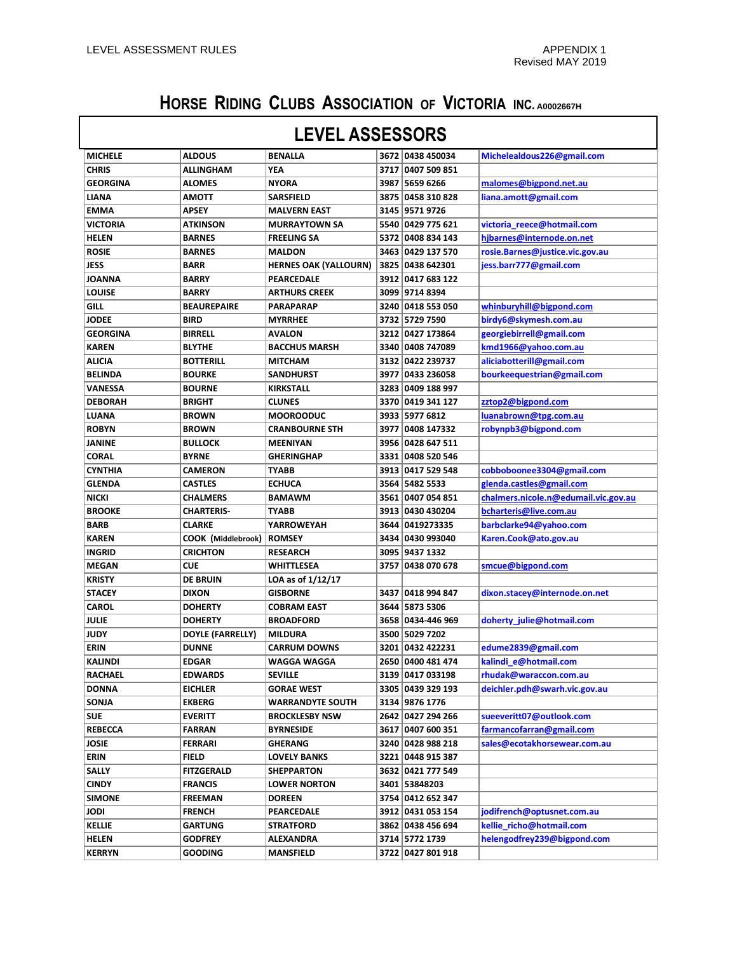## **HORSE RIDING CLUBS ASSOCIATION OF VICTORIA INC. A0002667H**

| <b>LEVEL ASSESSORS</b> |                    |                              |      |                   |                                      |  |
|------------------------|--------------------|------------------------------|------|-------------------|--------------------------------------|--|
| <b>MICHELE</b>         | <b>ALDOUS</b>      | <b>BENALLA</b>               |      | 3672 0438 450034  | Michelealdous226@gmail.com           |  |
| <b>CHRIS</b>           | <b>ALLINGHAM</b>   | YEA                          |      | 3717 0407 509 851 |                                      |  |
| <b>GEORGINA</b>        | <b>ALOMES</b>      | <b>NYORA</b>                 |      | 3987 5659 6266    | malomes@bigpond.net.au               |  |
| <b>LIANA</b>           | <b>AMOTT</b>       | <b>SARSFIELD</b>             |      | 3875 0458 310 828 | liana.amott@gmail.com                |  |
| <b>EMMA</b>            | <b>APSEY</b>       | <b>MALVERN EAST</b>          |      | 3145 9571 9726    |                                      |  |
| <b>VICTORIA</b>        | <b>ATKINSON</b>    | <b>MURRAYTOWN SA</b>         |      | 5540 0429 775 621 | victoria reece@hotmail.com           |  |
| <b>HELEN</b>           | <b>BARNES</b>      | <b>FREELING SA</b>           |      | 5372 0408 834 143 | hibarnes@internode.on.net            |  |
| <b>ROSIE</b>           | <b>BARNES</b>      | <b>MALDON</b>                |      | 3463 0429 137 570 | rosie.Barnes@justice.vic.gov.au      |  |
| <b>JESS</b>            | <b>BARR</b>        | <b>HERNES OAK (YALLOURN)</b> |      | 3825 0438 642301  | jess.barr777@gmail.com               |  |
| <b>JOANNA</b>          | <b>BARRY</b>       | <b>PEARCEDALE</b>            |      | 3912 0417 683 122 |                                      |  |
| <b>LOUISE</b>          | <b>BARRY</b>       | <b>ARTHURS CREEK</b>         |      | 3099 9714 8394    |                                      |  |
| GILL                   | <b>BEAUREPAIRE</b> | <b>PARAPARAP</b>             |      | 3240 0418 553 050 | whinburyhill@bigpond.com             |  |
| <b>JODEE</b>           | <b>BIRD</b>        | <b>MYRRHEE</b>               |      | 3732 5729 7590    | birdy6@skymesh.com.au                |  |
| <b>GEORGINA</b>        | <b>BIRRELL</b>     | <b>AVALON</b>                |      | 3212 0427 173864  | georgiebirrell@gmail.com             |  |
| <b>KAREN</b>           | <b>BLYTHE</b>      | <b>BACCHUS MARSH</b>         |      | 3340 0408 747089  | kmd1966@yahoo.com.au                 |  |
| <b>ALICIA</b>          | <b>BOTTERILL</b>   | <b>MITCHAM</b>               |      | 3132 0422 239737  | aliciabotterill@gmail.com            |  |
| <b>BELINDA</b>         | <b>BOURKE</b>      | <b>SANDHURST</b>             |      | 3977 0433 236058  | bourkeequestrian@gmail.com           |  |
| <b>VANESSA</b>         | <b>BOURNE</b>      | <b>KIRKSTALL</b>             |      | 3283 0409 188 997 |                                      |  |
| <b>DEBORAH</b>         | <b>BRIGHT</b>      | <b>CLUNES</b>                |      | 3370 0419 341 127 | zztop2@bigpond.com                   |  |
| LUANA                  | <b>BROWN</b>       | <b>MOOROODUC</b>             |      | 3933 5977 6812    | luanabrown@tpg.com.au                |  |
| <b>ROBYN</b>           | <b>BROWN</b>       | <b>CRANBOURNE STH</b>        |      | 3977 0408 147332  | robynpb3@bigpond.com                 |  |
| <b>JANINE</b>          | <b>BULLOCK</b>     | <b>MEENIYAN</b>              |      | 3956 0428 647 511 |                                      |  |
| <b>CORAL</b>           | <b>BYRNE</b>       | <b>GHERINGHAP</b>            |      | 3331 0408 520 546 |                                      |  |
| <b>CYNTHIA</b>         | <b>CAMERON</b>     | <b>TYABB</b>                 |      | 3913 0417 529 548 | cobboboonee3304@gmail.com            |  |
| <b>GLENDA</b>          | <b>CASTLES</b>     | <b>ECHUCA</b>                |      | 3564 5482 5533    | glenda.castles@gmail.com             |  |
| <b>NICKI</b>           | <b>CHALMERS</b>    | <b>BAMAWM</b>                |      | 3561 0407 054 851 | chalmers.nicole.n@edumail.vic.gov.au |  |
| <b>BROOKE</b>          | <b>CHARTERIS-</b>  | <b>TYABB</b>                 |      | 3913 0430 430204  | bcharteris@live.com.au               |  |
| <b>BARB</b>            | <b>CLARKE</b>      | <b>YARROWEYAH</b>            |      | 3644 0419273335   | barbclarke94@yahoo.com               |  |
| <b>KAREN</b>           | COOK (Middlebrook) | <b>ROMSEY</b>                |      | 3434 0430 993040  | Karen.Cook@ato.gov.au                |  |
| <b>INGRID</b>          | <b>CRICHTON</b>    | <b>RESEARCH</b>              |      | 3095 9437 1332    |                                      |  |
| <b>MEGAN</b>           | <b>CUE</b>         | WHITTLESEA                   | 3757 | 0438 070 678      | smcue@bigpond.com                    |  |
| <b>KRISTY</b>          | <b>DE BRUIN</b>    | LOA as of 1/12/17            |      |                   |                                      |  |
| <b>STACEY</b>          | <b>DIXON</b>       | <b>GISBORNE</b>              |      | 3437 0418 994 847 | dixon.stacey@internode.on.net        |  |
| <b>CAROL</b>           | <b>DOHERTY</b>     | <b>COBRAM EAST</b>           |      | 3644 5873 5306    |                                      |  |
| <b>JULIE</b>           | <b>DOHERTY</b>     | <b>BROADFORD</b>             |      | 3658 0434-446 969 | doherty_julie@hotmail.com            |  |
| <b>JUDY</b>            | DOYLE (FARRELLY)   | <b>MILDURA</b>               |      | 3500 5029 7202    |                                      |  |
| <b>ERIN</b>            | <b>DUNNE</b>       | <b>CARRUM DOWNS</b>          |      | 3201 0432 422231  | edume2839@gmail.com                  |  |
| KALINDI                | EDGAR              | WAGGA WAGGA                  |      | 2650 0400 481 474 | kalindi_e@hotmail.com                |  |
| <b>RACHAEL</b>         | <b>EDWARDS</b>     | <b>SEVILLE</b>               |      | 3139 0417 033198  | rhudak@waraccon.com.au               |  |
| <b>DONNA</b>           | <b>EICHLER</b>     | <b>GORAE WEST</b>            |      | 3305 0439 329 193 | deichler.pdh@swarh.vic.gov.au        |  |
| SONJA                  | <b>EKBERG</b>      | <b>WARRANDYTE SOUTH</b>      |      | 3134 9876 1776    |                                      |  |
| <b>SUE</b>             | <b>EVERITT</b>     | <b>BROCKLESBY NSW</b>        |      | 2642 0427 294 266 | sueeveritt07@outlook.com             |  |
| <b>REBECCA</b>         | <b>FARRAN</b>      | <b>BYRNESIDE</b>             |      | 3617 0407 600 351 | farmancofarran@gmail.com             |  |
| <b>JOSIE</b>           | FERRARI            | <b>GHERANG</b>               |      | 3240 0428 988 218 | sales@ecotakhorsewear.com.au         |  |
| ERIN                   | <b>FIELD</b>       | <b>LOVELY BANKS</b>          |      | 3221 0448 915 387 |                                      |  |
| SALLY                  | <b>FITZGERALD</b>  | <b>SHEPPARTON</b>            |      | 3632 0421 777 549 |                                      |  |
| <b>CINDY</b>           | <b>FRANCIS</b>     | <b>LOWER NORTON</b>          |      | 3401 53848203     |                                      |  |
| <b>SIMONE</b>          | FREEMAN            | <b>DOREEN</b>                |      | 3754 0412 652 347 |                                      |  |
| <b>JODI</b>            | <b>FRENCH</b>      | PEARCEDALE                   |      | 3912 0431 053 154 | jodifrench@optusnet.com.au           |  |
| <b>KELLIE</b>          | GARTUNG            | <b>STRATFORD</b>             |      | 3862 0438 456 694 | kellie richo@hotmail.com             |  |
| <b>HELEN</b>           | <b>GODFREY</b>     | <b>ALEXANDRA</b>             |      | 3714 5772 1739    | helengodfrey239@bigpond.com          |  |
| <b>KERRYN</b>          | <b>GOODING</b>     | <b>MANSFIELD</b>             |      | 3722 0427 801 918 |                                      |  |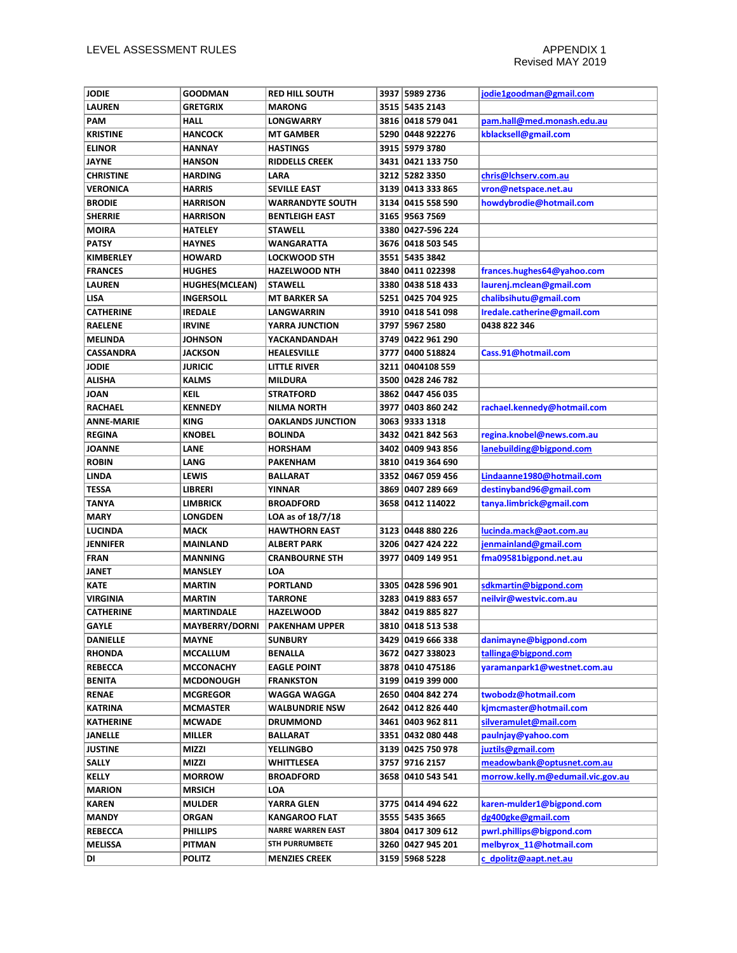| <b>JODIE</b>      | <b>GOODMAN</b>        | <b>RED HILL SOUTH</b>    |      | 3937 5989 2736    | jodie1goodman@gmail.com           |
|-------------------|-----------------------|--------------------------|------|-------------------|-----------------------------------|
| <b>LAUREN</b>     | <b>GRETGRIX</b>       | <b>MARONG</b>            |      | 3515 5435 2143    |                                   |
| <b>PAM</b>        | <b>HALL</b>           | <b>LONGWARRY</b>         |      | 3816 0418 579 041 | pam.hall@med.monash.edu.au        |
| <b>KRISTINE</b>   | <b>HANCOCK</b>        | <b>MT GAMBER</b>         |      | 5290 0448 922276  | kblacksell@gmail.com              |
| <b>ELINOR</b>     | HANNAY                | <b>HASTINGS</b>          |      | 3915 5979 3780    |                                   |
| JAYNE             | <b>HANSON</b>         | <b>RIDDELLS CREEK</b>    |      | 3431 0421 133 750 |                                   |
| <b>CHRISTINE</b>  | <b>HARDING</b>        | LARA                     |      | 3212 5282 3350    | chris@lchserv.com.au              |
| <b>VERONICA</b>   | <b>HARRIS</b>         | <b>SEVILLE EAST</b>      |      | 3139 0413 333 865 | vron@netspace.net.au              |
| <b>BRODIE</b>     | <b>HARRISON</b>       | <b>WARRANDYTE SOUTH</b>  |      | 3134 0415 558 590 | howdybrodie@hotmail.com           |
| <b>SHERRIE</b>    | <b>HARRISON</b>       | <b>BENTLEIGH EAST</b>    |      | 3165 9563 7569    |                                   |
| <b>MOIRA</b>      | <b>HATELEY</b>        | <b>STAWELL</b>           |      | 3380 0427-596 224 |                                   |
| <b>PATSY</b>      | <b>HAYNES</b>         | WANGARATTA               |      | 3676 0418 503 545 |                                   |
| <b>KIMBERLEY</b>  | <b>HOWARD</b>         | <b>LOCKWOOD STH</b>      |      | 3551 5435 3842    |                                   |
| <b>FRANCES</b>    | <b>HUGHES</b>         | <b>HAZELWOOD NTH</b>     |      | 3840 0411 022398  | frances.hughes64@yahoo.com        |
| <b>LAUREN</b>     | <b>HUGHES(MCLEAN)</b> | <b>STAWELL</b>           |      | 3380 0438 518 433 | laurenj.mclean@gmail.com          |
| <b>LISA</b>       | <b>INGERSOLL</b>      | <b>MT BARKER SA</b>      |      | 5251 0425 704 925 | chalibsihutu@gmail.com            |
| <b>CATHERINE</b>  | <b>IREDALE</b>        | LANGWARRIN               |      | 3910 0418 541 098 | Iredale.catherine@gmail.com       |
| <b>RAELENE</b>    | <b>IRVINE</b>         | YARRA JUNCTION           |      | 3797 5967 2580    | 0438 822 346                      |
| <b>MELINDA</b>    | <b>JOHNSON</b>        | YACKANDANDAH             |      | 3749 0422 961 290 |                                   |
| <b>CASSANDRA</b>  | <b>JACKSON</b>        | HEALESVILLE              | 3777 | 0400 518824       | Cass.91@hotmail.com               |
| <b>JODIE</b>      | <b>JURICIC</b>        | LITTLE RIVER             |      | 3211 0404108 559  |                                   |
| <b>ALISHA</b>     | <b>KALMS</b>          | MILDURA                  |      | 3500 0428 246 782 |                                   |
| <b>JOAN</b>       | <b>KEIL</b>           | <b>STRATFORD</b>         |      | 3862 0447 456 035 |                                   |
| <b>RACHAEL</b>    | <b>KENNEDY</b>        | NILMA NORTH              |      | 3977 0403 860 242 | rachael.kennedy@hotmail.com       |
| <b>ANNE-MARIE</b> | <b>KING</b>           | <b>OAKLANDS JUNCTION</b> |      | 3063 9333 1318    |                                   |
| <b>REGINA</b>     | <b>KNOBEL</b>         | <b>BOLINDA</b>           |      | 3432 0421 842 563 | regina.knobel@news.com.au         |
| <b>JOANNE</b>     | LANE                  | <b>HORSHAM</b>           |      | 3402 0409 943 856 | lanebuilding@bigpond.com          |
| <b>ROBIN</b>      | LANG                  | PAKENHAM                 |      | 3810 0419 364 690 |                                   |
| <b>LINDA</b>      | <b>LEWIS</b>          | <b>BALLARAT</b>          |      | 3352 0467 059 456 | Lindaanne1980@hotmail.com         |
| <b>TESSA</b>      | <b>LIBRERI</b>        | YINNAR                   |      | 3869 0407 289 669 | destinyband96@gmail.com           |
| <b>TANYA</b>      | <b>LIMBRICK</b>       | <b>BROADFORD</b>         |      | 3658 0412 114022  | tanya.limbrick@gmail.com          |
| <b>MARY</b>       | <b>LONGDEN</b>        | LOA as of 18/7/18        |      |                   |                                   |
| <b>LUCINDA</b>    | <b>MACK</b>           | <b>HAWTHORN EAST</b>     |      | 3123 0448 880 226 | lucinda.mack@aot.com.au           |
| <b>JENNIFER</b>   | <b>MAINLAND</b>       | ALBERT PARK              |      | 3206 0427 424 222 | jenmainland@gmail.com             |
| <b>FRAN</b>       | <b>MANNING</b>        | <b>CRANBOURNE STH</b>    | 3977 | 0409 149 951      | fma09581bigpond.net.au            |
| <b>JANET</b>      | <b>MANSLEY</b>        | LOA                      |      |                   |                                   |
| <b>KATE</b>       | <b>MARTIN</b>         | <b>PORTLAND</b>          |      | 3305 0428 596 901 | sdkmartin@bigpond.com             |
| <b>VIRGINIA</b>   | <b>MARTIN</b>         | TARRONE                  |      | 3283 0419 883 657 | neilvir@westvic.com.au            |
| <b>CATHERINE</b>  | <b>MARTINDALE</b>     | <b>HAZELWOOD</b>         |      | 3842 0419 885 827 |                                   |
| <b>GAYLE</b>      | <b>MAYBERRY/DORNI</b> | <b>PAKENHAM UPPER</b>    |      | 3810 0418 513 538 |                                   |
| <b>DANIELLE</b>   | <b>MAYNE</b>          | <b>SUNBURY</b>           |      | 3429 0419 666 338 | danimayne@bigpond.com             |
| <b>RHONDA</b>     | MCCALLUM              | <b>BENALLA</b>           |      | 3672 0427 338023  | tallinga@bigpond.com              |
| <b>REBECCA</b>    | <b>MCCONACHY</b>      | <b>EAGLE POINT</b>       |      | 3878 0410 475186  | yaramanpark1@westnet.com.au       |
| <b>BENITA</b>     | <b>MCDONOUGH</b>      | <b>FRANKSTON</b>         |      | 3199 0419 399 000 |                                   |
| <b>RENAE</b>      | <b>MCGREGOR</b>       | WAGGA WAGGA              |      | 2650 0404 842 274 | twobodz@hotmail.com               |
| <b>KATRINA</b>    | <b>MCMASTER</b>       | <b>WALBUNDRIE NSW</b>    |      | 2642 0412 826 440 | kjmcmaster@hotmail.com            |
| <b>KATHERINE</b>  | <b>MCWADE</b>         | DRUMMOND                 |      | 3461 0403 962 811 | silveramulet@mail.com             |
| <b>JANELLE</b>    | <b>MILLER</b>         | <b>BALLARAT</b>          |      | 3351 0432 080 448 | paulnjay@yahoo.com                |
| <b>JUSTINE</b>    | MIZZI                 | <b>YELLINGBO</b>         |      | 3139 0425 750 978 | juztils@gmail.com                 |
| <b>SALLY</b>      | MIZZI                 | WHITTLESEA               |      | 3757 9716 2157    | meadowbank@optusnet.com.au        |
| <b>KELLY</b>      | <b>MORROW</b>         | <b>BROADFORD</b>         |      | 3658 0410 543 541 | morrow.kelly.m@edumail.vic.gov.au |
| <b>MARION</b>     | <b>MRSICH</b>         | LOA                      |      |                   |                                   |
| <b>KAREN</b>      | <b>MULDER</b>         | YARRA GLEN               |      | 3775 0414 494 622 | karen-mulder1@bigpond.com         |
| <b>MANDY</b>      | <b>ORGAN</b>          | <b>KANGAROO FLAT</b>     |      | 3555 5435 3665    | dg400gke@gmail.com                |
| <b>REBECCA</b>    | <b>PHILLIPS</b>       | <b>NARRE WARREN EAST</b> |      | 3804 0417 309 612 | pwrl.phillips@bigpond.com         |
| <b>MELISSA</b>    | <b>PITMAN</b>         | STH PURRUMBETE           |      | 3260 0427 945 201 | melbyrox 11@hotmail.com           |
|                   | <b>POLITZ</b>         | <b>MENZIES CREEK</b>     |      | 3159 5968 5228    | c_dpolitz@aapt.net.au             |
| DI                |                       |                          |      |                   |                                   |